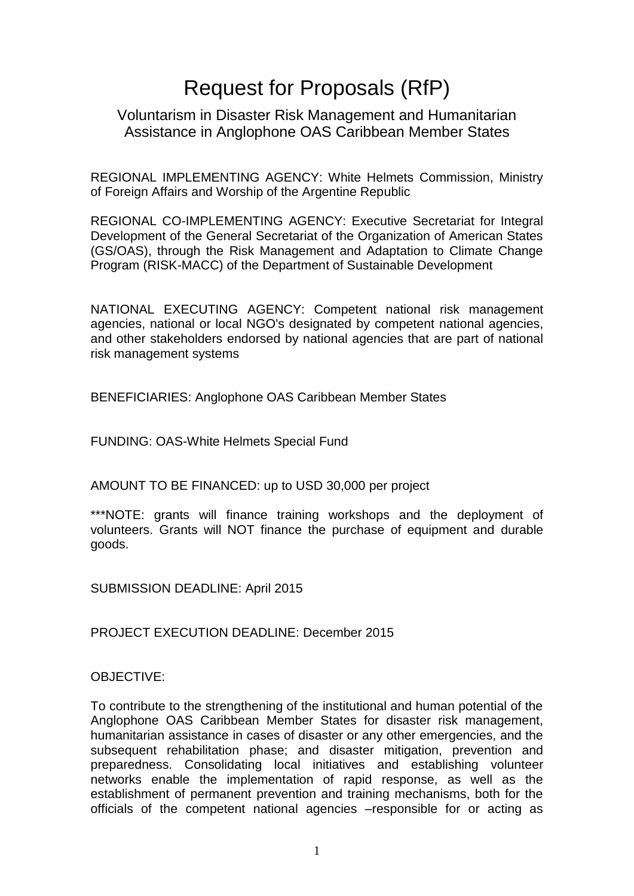# Request for Proposals (RfP)

## Voluntarism in Disaster Risk Management and Humanitarian Assistance in Anglophone OAS Caribbean Member States

REGIONAL IMPLEMENTING AGENCY: White Helmets Commission, Ministry of Foreign Affairs and Worship of the Argentine Republic

REGIONAL CO-IMPLEMENTING AGENCY: Executive Secretariat for Integral Development of the General Secretariat of the Organization of American States (GS/OAS), through the Risk Management and Adaptation to Climate Change Program (RISK-MACC) of the Department of Sustainable Development

NATIONAL EXECUTING AGENCY: Competent national risk management agencies, national or local NGO's designated by competent national agencies, and other stakeholders endorsed by national agencies that are part of national risk management systems

BENEFICIARIES: Anglophone OAS Caribbean Member States

FUNDING: OAS-White Helmets Special Fund

AMOUNT TO BE FINANCED: up to USD 30,000 per project

\*\*\*NOTE: grants will finance training workshops and the deployment of volunteers. Grants will NOT finance the purchase of equipment and durable goods.

SUBMISSION DEADLINE: April 2015

PROJECT EXECUTION DEADLINE: December 2015

## OBJECTIVE:

To contribute to the strengthening of the institutional and human potential of the Anglophone OAS Caribbean Member States for disaster risk management, humanitarian assistance in cases of disaster or any other emergencies, and the subsequent rehabilitation phase; and disaster mitigation, prevention and preparedness. Consolidating local initiatives and establishing volunteer networks enable the implementation of rapid response, as well as the establishment of permanent prevention and training mechanisms, both for the officials of the competent national agencies –responsible for or acting as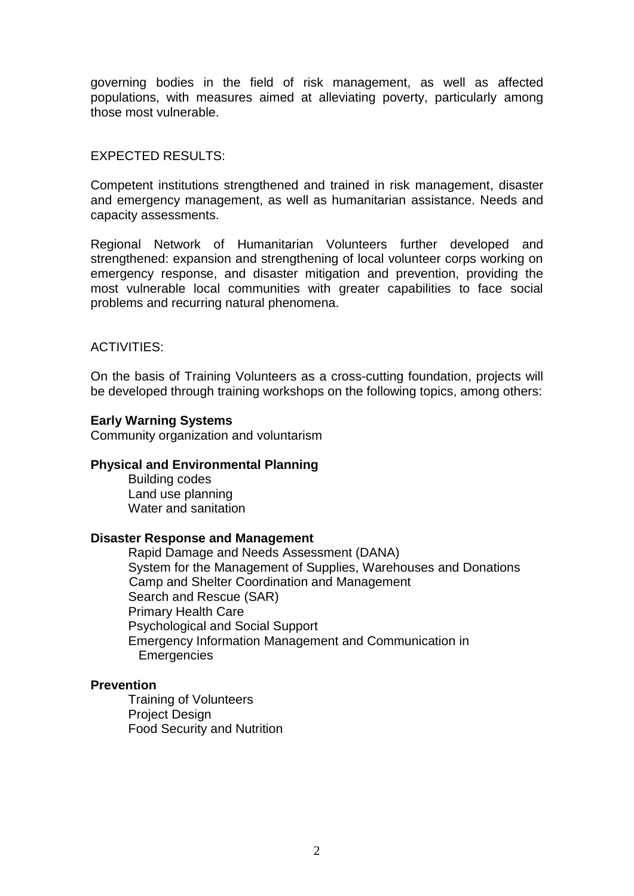governing bodies in the field of risk management, as well as affected populations, with measures aimed at alleviating poverty, particularly among those most vulnerable.

## EXPECTED RESULTS:

Competent institutions strengthened and trained in risk management, disaster and emergency management, as well as humanitarian assistance. Needs and capacity assessments.

Regional Network of Humanitarian Volunteers further developed and strengthened: expansion and strengthening of local volunteer corps working on emergency response, and disaster mitigation and prevention, providing the most vulnerable local communities with greater capabilities to face social problems and recurring natural phenomena.

## ACTIVITIES:

On the basis of Training Volunteers as a cross-cutting foundation, projects will be developed through training workshops on the following topics, among others:

## **Early Warning Systems**

Community organization and voluntarism

#### **Physical and Environmental Planning**

Building codes Land use planning Water and sanitation

#### **Disaster Response and Management**

Rapid Damage and Needs Assessment (DANA) System for the Management of Supplies, Warehouses and Donations Camp and Shelter Coordination and Management Search and Rescue (SAR) Primary Health Care Psychological and Social Support Emergency Information Management and Communication in **Emergencies** 

## **Prevention**

Training of Volunteers Project Design Food Security and Nutrition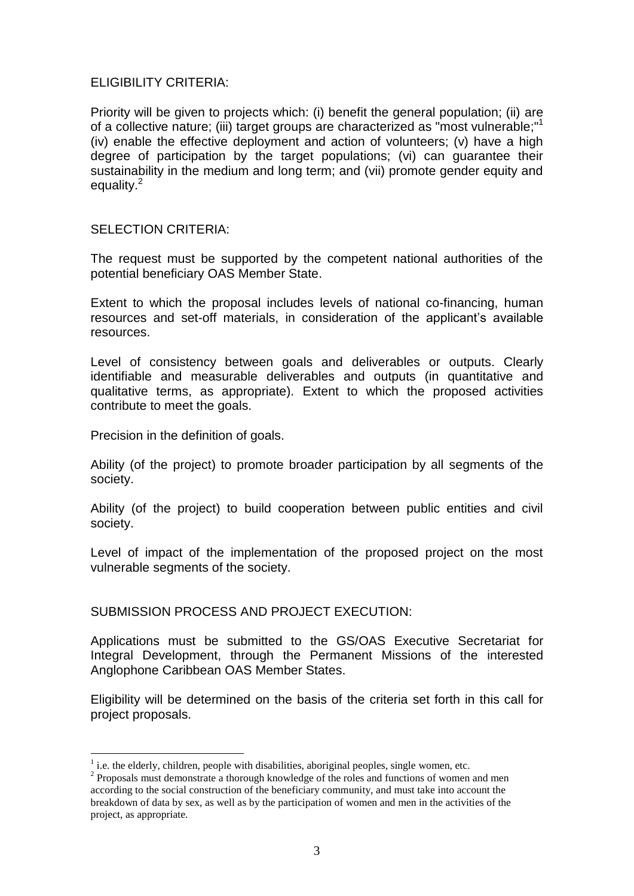### ELIGIBILITY CRITERIA:

Priority will be given to projects which: (i) benefit the general population; (ii) are of a collective nature; (iii) target groups are characterized as "most vulnerable;"<sup>1</sup> (iv) enable the effective deployment and action of volunteers; (v) have a high degree of participation by the target populations; (vi) can guarantee their sustainability in the medium and long term; and (vii) promote gender equity and equality.<sup>2</sup>

#### SELECTION CRITERIA:

The request must be supported by the competent national authorities of the potential beneficiary OAS Member State.

Extent to which the proposal includes levels of national co-financing, human resources and set-off materials, in consideration of the applicant's available resources.

Level of consistency between goals and deliverables or outputs. Clearly identifiable and measurable deliverables and outputs (in quantitative and qualitative terms, as appropriate). Extent to which the proposed activities contribute to meet the goals.

Precision in the definition of goals.

<u>.</u>

Ability (of the project) to promote broader participation by all segments of the society.

Ability (of the project) to build cooperation between public entities and civil society.

Level of impact of the implementation of the proposed project on the most vulnerable segments of the society.

## SUBMISSION PROCESS AND PROJECT EXECUTION:

Applications must be submitted to the GS/OAS Executive Secretariat for Integral Development, through the Permanent Missions of the interested Anglophone Caribbean OAS Member States.

Eligibility will be determined on the basis of the criteria set forth in this call for project proposals.

 $<sup>1</sup>$  i.e. the elderly, children, people with disabilities, aboriginal peoples, single women, etc.</sup>

<sup>&</sup>lt;sup>2</sup> Proposals must demonstrate a thorough knowledge of the roles and functions of women and men according to the social construction of the beneficiary community, and must take into account the breakdown of data by sex, as well as by the participation of women and men in the activities of the project, as appropriate.